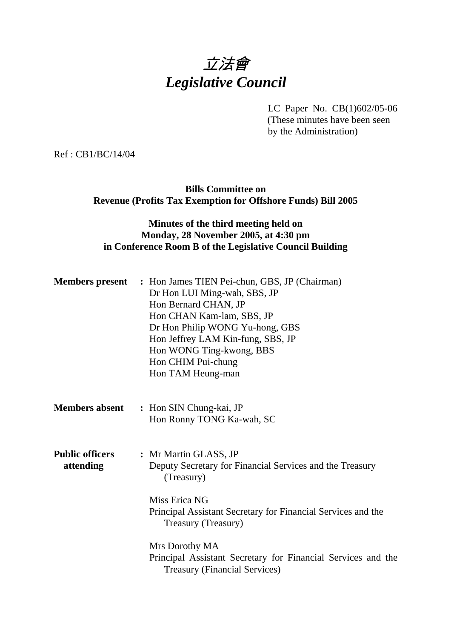# 立法會 *Legislative Council*

LC Paper No. CB(1)602/05-06 (These minutes have been seen by the Administration)

Ref : CB1/BC/14/04

**Bills Committee on Revenue (Profits Tax Exemption for Offshore Funds) Bill 2005** 

## **Minutes of the third meeting held on Monday, 28 November 2005, at 4:30 pm in Conference Room B of the Legislative Council Building**

| <b>Members present</b>              | : Hon James TIEN Pei-chun, GBS, JP (Chairman)<br>Dr Hon LUI Ming-wah, SBS, JP<br>Hon Bernard CHAN, JP<br>Hon CHAN Kam-lam, SBS, JP<br>Dr Hon Philip WONG Yu-hong, GBS<br>Hon Jeffrey LAM Kin-fung, SBS, JP<br>Hon WONG Ting-kwong, BBS<br>Hon CHIM Pui-chung<br>Hon TAM Heung-man |
|-------------------------------------|-----------------------------------------------------------------------------------------------------------------------------------------------------------------------------------------------------------------------------------------------------------------------------------|
| <b>Members absent</b>               | : Hon SIN Chung-kai, JP<br>Hon Ronny TONG Ka-wah, SC                                                                                                                                                                                                                              |
| <b>Public officers</b><br>attending | : Mr Martin GLASS, JP<br>Deputy Secretary for Financial Services and the Treasury<br>(Treasury)<br>Miss Erica NG<br>Principal Assistant Secretary for Financial Services and the<br>Treasury (Treasury)                                                                           |
|                                     | Mrs Dorothy MA<br>Principal Assistant Secretary for Financial Services and the<br><b>Treasury (Financial Services)</b>                                                                                                                                                            |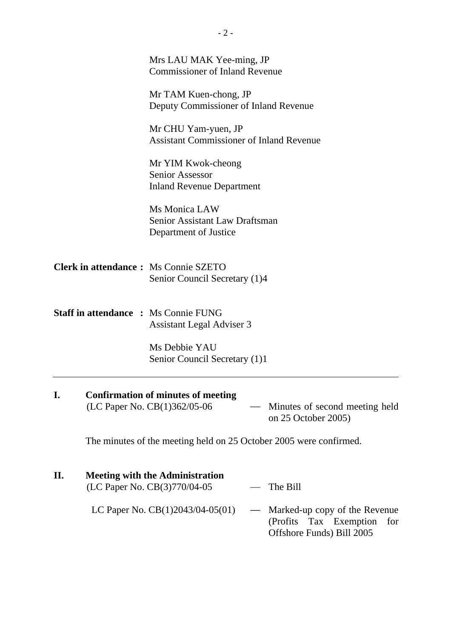|     | Mrs LAU MAK Yee-ming, JP<br><b>Commissioner of Inland Revenue</b>                                                                  |
|-----|------------------------------------------------------------------------------------------------------------------------------------|
|     | Mr TAM Kuen-chong, JP<br>Deputy Commissioner of Inland Revenue                                                                     |
|     | Mr CHU Yam-yuen, JP<br><b>Assistant Commissioner of Inland Revenue</b>                                                             |
|     | Mr YIM Kwok-cheong<br><b>Senior Assessor</b><br><b>Inland Revenue Department</b>                                                   |
|     | Ms Monica LAW<br>Senior Assistant Law Draftsman<br>Department of Justice                                                           |
|     | <b>Clerk in attendance:</b> Ms Connie SZETO<br>Senior Council Secretary (1)4                                                       |
|     | <b>Staff in attendance : Ms Connie FUNG</b><br>Assistant Legal Adviser 3                                                           |
|     | Ms Debbie YAU<br>Senior Council Secretary (1)1                                                                                     |
| I.  | <b>Confirmation of minutes of meeting</b><br>(LC Paper No. CB(1)362/05-06<br>Minutes of second meeting held<br>on 25 October 2005) |
|     | The minutes of the meeting held on 25 October 2005 were confirmed.                                                                 |
| II. | <b>Meeting with the Administration</b><br>(LC Paper No. CB(3)770/04-05<br>The Bill                                                 |

LC Paper No. CB(1)2043/04-05(01) — Marked-up copy of the Revenue (Profits Tax Exemption for Offshore Funds) Bill 2005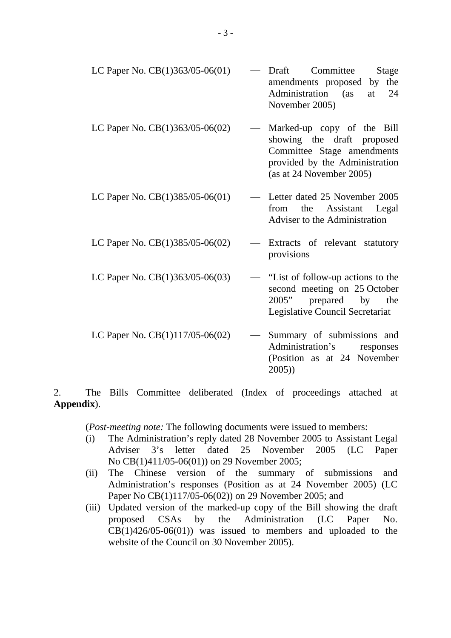| LC Paper No. $CB(1)363/05-06(01)$ | — Draft Committee            |  | Stage |
|-----------------------------------|------------------------------|--|-------|
|                                   | amendments proposed by the   |  |       |
|                                   | Administration (as at 24     |  |       |
|                                   | November 2005)               |  |       |
|                                   |                              |  |       |
| LC Paper No. $CB(1)363/05-06(02)$ | — Marked-up copy of the Bill |  |       |
|                                   | showing the draft proposed   |  |       |

- showing the draft proposed Committee Stage amendments provided by the Administration (as at 24 November 2005)
- LC Paper No.  $CB(1)385/05-06(01)$  Letter dated 25 November 2005 from the Assistant Legal Adviser to the Administration
- LC Paper No.  $CB(1)385/05-06(02)$  Extracts of relevant statutory provisions
- LC Paper No.  $CB(1)363/05-06(03)$  "List of follow-up actions to the second meeting on 25 October 2005" prepared by the Legislative Council Secretariat
- LC Paper No.  $CB(1)117/05-06(02)$  Summary of submissions and Administration's responses (Position as at 24 November 2005))

2. The Bills Committee deliberated (Index of proceedings attached at **Appendix**).

(*Post-meeting note:* The following documents were issued to members:

- (i) The Administration's reply dated 28 November 2005 to Assistant Legal Adviser 3's letter dated 25 November 2005 (LC Paper No CB(1)411/05-06(01)) on 29 November 2005;
- (ii) The Chinese version of the summary of submissions and Administration's responses (Position as at 24 November 2005) (LC Paper No CB(1)117/05-06(02)) on 29 November 2005; and
- (iii) Updated version of the marked-up copy of the Bill showing the draft proposed CSAs by the Administration (LC Paper No.  $CB(1)426/05-06(01))$  was issued to members and uploaded to the website of the Council on 30 November 2005).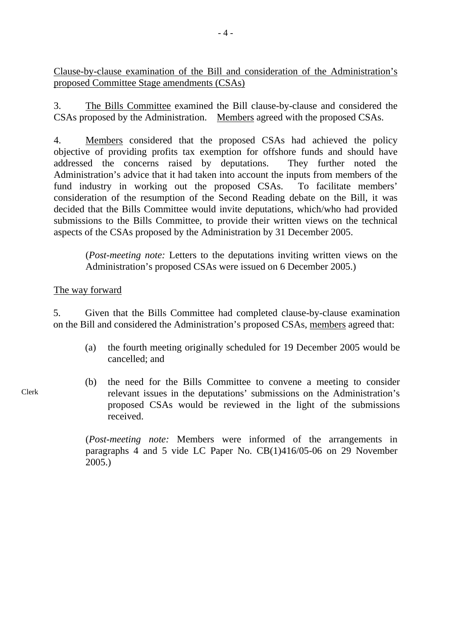Clause-by-clause examination of the Bill and consideration of the Administration's proposed Committee Stage amendments (CSAs)

3. The Bills Committee examined the Bill clause-by-clause and considered the CSAs proposed by the Administration. Members agreed with the proposed CSAs.

4. Members considered that the proposed CSAs had achieved the policy objective of providing profits tax exemption for offshore funds and should have addressed the concerns raised by deputations. They further noted the Administration's advice that it had taken into account the inputs from members of the fund industry in working out the proposed CSAs. To facilitate members' consideration of the resumption of the Second Reading debate on the Bill, it was decided that the Bills Committee would invite deputations, which/who had provided submissions to the Bills Committee, to provide their written views on the technical aspects of the CSAs proposed by the Administration by 31 December 2005.

(*Post-meeting note:* Letters to the deputations inviting written views on the Administration's proposed CSAs were issued on 6 December 2005.)

#### The way forward

5. Given that the Bills Committee had completed clause-by-clause examination on the Bill and considered the Administration's proposed CSAs, members agreed that:

- (a) the fourth meeting originally scheduled for 19 December 2005 would be cancelled; and
- (b) the need for the Bills Committee to convene a meeting to consider relevant issues in the deputations' submissions on the Administration's proposed CSAs would be reviewed in the light of the submissions received.

(*Post-meeting note:* Members were informed of the arrangements in paragraphs 4 and 5 vide LC Paper No. CB(1)416/05-06 on 29 November 2005.)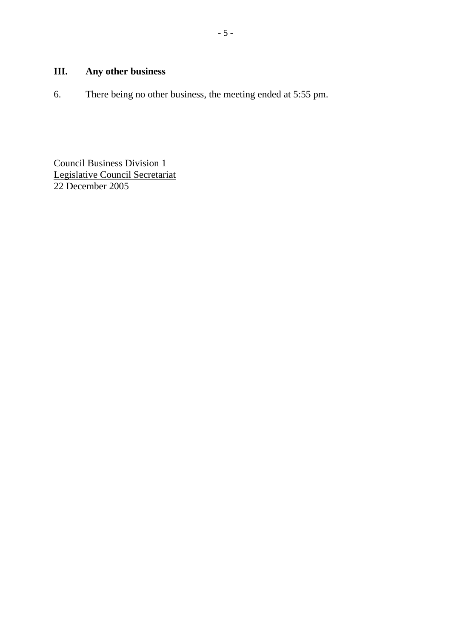# **III. Any other business**

6. There being no other business, the meeting ended at 5:55 pm.

Council Business Division 1 Legislative Council Secretariat 22 December 2005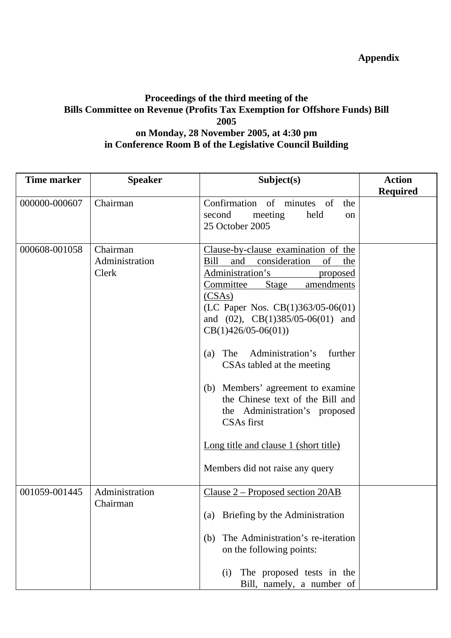## **Proceedings of the third meeting of the Bills Committee on Revenue (Profits Tax Exemption for Offshore Funds) Bill 2005 on Monday, 28 November 2005, at 4:30 pm in Conference Room B of the Legislative Council Building**

| <b>Time marker</b> | <b>Speaker</b>                      | Subject(s)                                                                                                                                                                                                                                                                                                                                                                                                                                                                                                                                                     | <b>Action</b>   |
|--------------------|-------------------------------------|----------------------------------------------------------------------------------------------------------------------------------------------------------------------------------------------------------------------------------------------------------------------------------------------------------------------------------------------------------------------------------------------------------------------------------------------------------------------------------------------------------------------------------------------------------------|-----------------|
| 000000-000607      | Chairman                            | Confirmation of minutes of<br>the<br>second<br>meeting<br>held<br>on<br>25 October 2005                                                                                                                                                                                                                                                                                                                                                                                                                                                                        | <b>Required</b> |
| 000608-001058      | Chairman<br>Administration<br>Clerk | Clause-by-clause examination of the<br>consideration<br>of<br>Bill<br>and<br>the<br>Administration's<br>proposed<br>Committee<br>Stage<br>amendments<br>(CSAs)<br>(LC Paper Nos. $CB(1)363/05-06(01)$<br>and $(02)$ , CB $(1)385/05-06(01)$ and<br>$CB(1)426/05-06(01))$<br>Administration's<br>further<br>The<br>(a)<br>CSAs tabled at the meeting<br>(b) Members' agreement to examine<br>the Chinese text of the Bill and<br>the Administration's proposed<br><b>CSAs</b> first<br>Long title and clause 1 (short title)<br>Members did not raise any query |                 |
| 001059-001445      | Administration<br>Chairman          | Clause 2 – Proposed section 20AB<br>Briefing by the Administration<br>(a)<br>The Administration's re-iteration<br>(b)<br>on the following points:<br>The proposed tests in the<br>(i)<br>Bill, namely, a number of                                                                                                                                                                                                                                                                                                                                             |                 |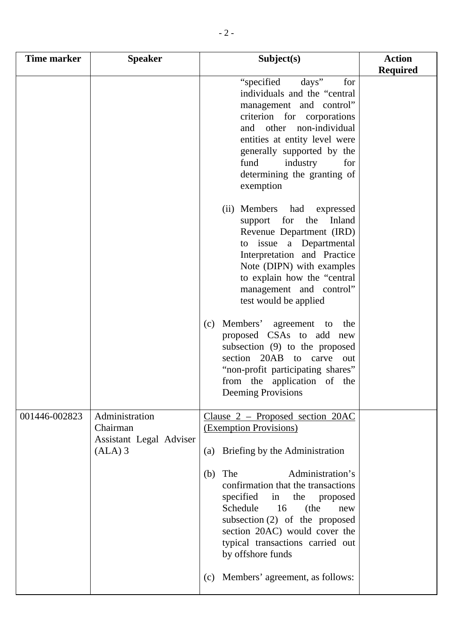| <b>Time marker</b> | <b>Speaker</b>                                                     | Subject(s)                                                                                                                                                                                                                                                                              | <b>Action</b><br><b>Required</b> |
|--------------------|--------------------------------------------------------------------|-----------------------------------------------------------------------------------------------------------------------------------------------------------------------------------------------------------------------------------------------------------------------------------------|----------------------------------|
|                    |                                                                    | days"<br>"specified"<br>for<br>individuals and the "central"<br>management and control"<br>criterion for corporations<br>and other non-individual<br>entities at entity level were<br>generally supported by the<br>fund<br>industry<br>for<br>determining the granting of<br>exemption |                                  |
|                    |                                                                    | (ii) Members had expressed<br>support for<br>the<br>Inland<br>Revenue Department (IRD)<br>to issue a Departmental<br>Interpretation and Practice<br>Note (DIPN) with examples<br>to explain how the "central"<br>management and control"<br>test would be applied                       |                                  |
|                    |                                                                    | Members'<br>agreement<br>the<br>(c)<br>to<br>proposed CSAs to add new<br>subsection (9) to the proposed<br>section 20AB to carve<br>out<br>"non-profit participating shares"<br>from the application of the<br><b>Deeming Provisions</b>                                                |                                  |
| 001446-002823      | Administration<br>Chairman<br>Assistant Legal Adviser<br>$(ALA)$ 3 | Clause 2 – Proposed section 20AC<br>(Exemption Provisions)<br>Briefing by the Administration<br>(a)                                                                                                                                                                                     |                                  |
|                    |                                                                    | Administration's<br>The<br>(b)<br>confirmation that the transactions<br>specified in<br>the<br>proposed<br>Schedule<br>16<br>(the<br>new<br>subsection $(2)$ of the proposed<br>section 20AC) would cover the<br>typical transactions carried out<br>by offshore funds                  |                                  |
|                    |                                                                    | Members' agreement, as follows:<br>(c)                                                                                                                                                                                                                                                  |                                  |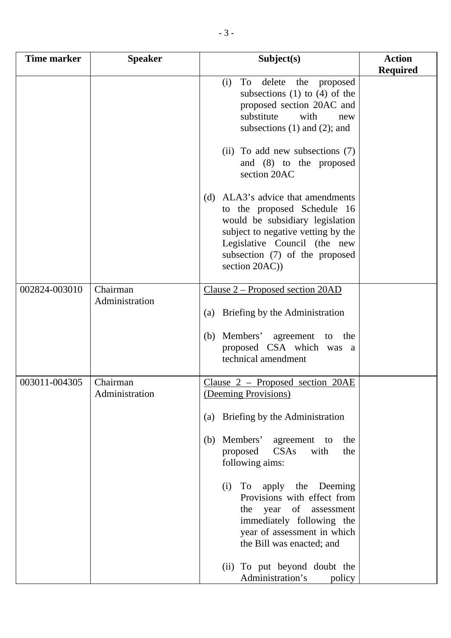| <b>Time marker</b> | <b>Speaker</b>             | Subject(s)                                                                                                                                                                                                                    | <b>Action</b><br><b>Required</b> |
|--------------------|----------------------------|-------------------------------------------------------------------------------------------------------------------------------------------------------------------------------------------------------------------------------|----------------------------------|
|                    |                            | delete<br>To<br>the<br>proposed<br>(i)<br>subsections $(1)$ to $(4)$ of the<br>proposed section 20AC and<br>substitute<br>with<br>new<br>subsections $(1)$ and $(2)$ ; and                                                    |                                  |
|                    |                            | (ii) To add new subsections (7)<br>and (8) to the proposed<br>section 20AC                                                                                                                                                    |                                  |
|                    |                            | (d) ALA3's advice that amendments<br>to the proposed Schedule 16<br>would be subsidiary legislation<br>subject to negative vetting by the<br>Legislative Council (the new<br>subsection (7) of the proposed<br>section 20AC)) |                                  |
| 002824-003010      | Chairman                   | <u>Clause 2 – Proposed section 20AD</u>                                                                                                                                                                                       |                                  |
|                    | Administration             | Briefing by the Administration<br>(a)                                                                                                                                                                                         |                                  |
|                    |                            | Members' agreement to the<br>(b)<br>proposed CSA which was a<br>technical amendment                                                                                                                                           |                                  |
| 003011-004305      | Chairman<br>Administration | Clause 2 - Proposed section 20AE<br>(Deeming Provisions)                                                                                                                                                                      |                                  |
|                    |                            | Briefing by the Administration<br>$\left( a\right)$                                                                                                                                                                           |                                  |
|                    |                            | Members'<br>(b)<br>agreement to<br>the<br>CSAs<br>with<br>the<br>proposed<br>following aims:                                                                                                                                  |                                  |
|                    |                            | To apply the Deeming<br>(i)<br>Provisions with effect from<br>the year of<br>assessment<br>immediately following the<br>year of assessment in which<br>the Bill was enacted; and                                              |                                  |
|                    |                            | (ii) To put beyond doubt the<br>Administration's<br>policy                                                                                                                                                                    |                                  |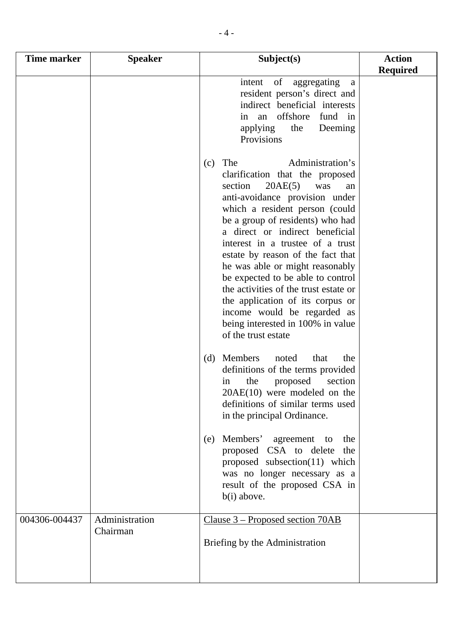| Time marker   | <b>Speaker</b>             | Subject(s)                                                                                                                                                                                                                                                                                                                                                                                                                                                                                                                                                               | <b>Action</b><br><b>Required</b> |
|---------------|----------------------------|--------------------------------------------------------------------------------------------------------------------------------------------------------------------------------------------------------------------------------------------------------------------------------------------------------------------------------------------------------------------------------------------------------------------------------------------------------------------------------------------------------------------------------------------------------------------------|----------------------------------|
|               |                            | of<br>aggregating<br>intent<br>a<br>resident person's direct and<br>indirect beneficial interests<br>offshore<br>fund in<br>in<br>an<br>applying<br>the<br>Deeming<br>Provisions                                                                                                                                                                                                                                                                                                                                                                                         |                                  |
|               |                            | Administration's<br>The<br>(c)<br>clarification that the proposed<br>section<br>20AE(5)<br>was<br>an<br>anti-avoidance provision under<br>which a resident person (could<br>be a group of residents) who had<br>a direct or indirect beneficial<br>interest in a trustee of a trust<br>estate by reason of the fact that<br>he was able or might reasonably<br>be expected to be able to control<br>the activities of the trust estate or<br>the application of its corpus or<br>income would be regarded as<br>being interested in 100% in value<br>of the trust estate |                                  |
|               |                            | Members<br>(d)<br>noted<br>that<br>the<br>definitions of the terms provided<br>proposed<br>the<br>section<br>in<br>$20AE(10)$ were modeled on the<br>definitions of similar terms used<br>in the principal Ordinance.                                                                                                                                                                                                                                                                                                                                                    |                                  |
|               |                            | Members' agreement<br>the<br>(e)<br>to<br>proposed CSA to delete<br>the<br>proposed subsection $(11)$ which<br>was no longer necessary as a<br>result of the proposed CSA in<br>b(i) above.                                                                                                                                                                                                                                                                                                                                                                              |                                  |
| 004306-004437 | Administration<br>Chairman | <u>Clause 3 – Proposed section 70AB</u><br>Briefing by the Administration                                                                                                                                                                                                                                                                                                                                                                                                                                                                                                |                                  |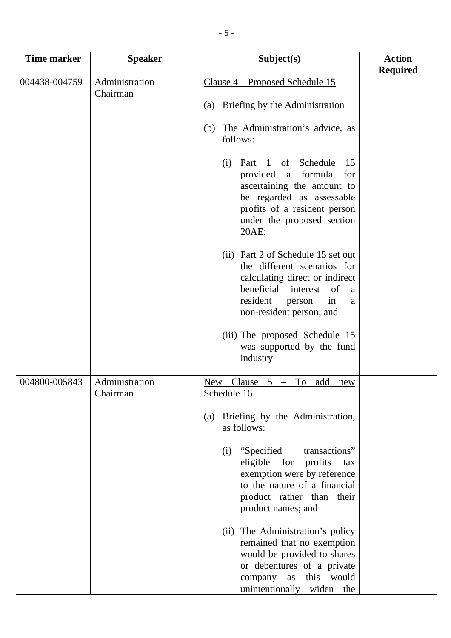| <b>Time marker</b> | <b>Speaker</b>             | Subject(s)                                                                                                                                                                                         | <b>Action</b><br><b>Required</b> |
|--------------------|----------------------------|----------------------------------------------------------------------------------------------------------------------------------------------------------------------------------------------------|----------------------------------|
| 004438-004759      | Administration             | <u>Clause 4 – Proposed Schedule 15</u>                                                                                                                                                             |                                  |
|                    | Chairman                   | Briefing by the Administration<br>(a)                                                                                                                                                              |                                  |
|                    |                            | The Administration's advice, as<br>(b)<br>follows:                                                                                                                                                 |                                  |
|                    |                            | Part 1 of Schedule<br>15<br>(i)<br>provided a<br>formula<br>for<br>ascertaining the amount to<br>be regarded as assessable<br>profits of a resident person<br>under the proposed section<br>20AE;  |                                  |
|                    |                            | (ii) Part 2 of Schedule 15 set out<br>the different scenarios for<br>calculating direct or indirect<br>beneficial interest<br>of<br>a<br>resident<br>person<br>in<br>a<br>non-resident person; and |                                  |
|                    |                            | (iii) The proposed Schedule 15<br>was supported by the fund<br>industry                                                                                                                            |                                  |
| 004800-005843      | Administration<br>Chairman | Clause<br>To add<br>New<br>$5 -$<br>new<br>Schedule 16                                                                                                                                             |                                  |
|                    |                            | Briefing by the Administration,<br>(a)<br>as follows:                                                                                                                                              |                                  |
|                    |                            | (i) "Specified<br>transactions"<br>for<br>eligible<br>profits<br>tax<br>exemption were by reference<br>to the nature of a financial<br>product rather than their<br>product names; and             |                                  |
|                    |                            | (ii) The Administration's policy<br>remained that no exemption<br>would be provided to shares<br>or debentures of a private<br>this would<br>company as<br>unintentionally widen the               |                                  |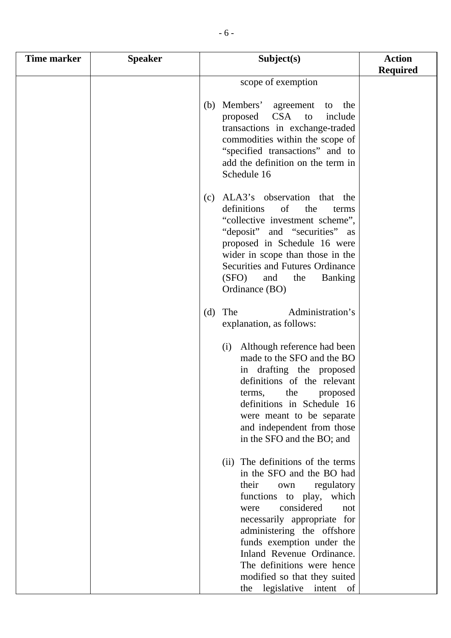| Time marker | <b>Speaker</b> | Subject(s)                                                                                                                                                                                                                                                                                                                                                                       | <b>Action</b><br><b>Required</b> |
|-------------|----------------|----------------------------------------------------------------------------------------------------------------------------------------------------------------------------------------------------------------------------------------------------------------------------------------------------------------------------------------------------------------------------------|----------------------------------|
|             |                | scope of exemption                                                                                                                                                                                                                                                                                                                                                               |                                  |
|             |                | Members' agreement to<br>(b)<br>the<br>CSA to<br>proposed<br>include<br>transactions in exchange-traded<br>commodities within the scope of<br>"specified transactions" and to<br>add the definition on the term in<br>Schedule 16                                                                                                                                                |                                  |
|             |                | ALA3's observation that the<br>(c)<br>definitions<br>of<br>the<br>terms<br>"collective investment scheme",<br>"deposit" and "securities" as<br>proposed in Schedule 16 were<br>wider in scope than those in the<br>Securities and Futures Ordinance<br>(SFO)<br><b>Banking</b><br>and<br>the<br>Ordinance (BO)                                                                   |                                  |
|             |                | Administration's<br>(d)<br>The<br>explanation, as follows:                                                                                                                                                                                                                                                                                                                       |                                  |
|             |                | Although reference had been<br>(i)<br>made to the SFO and the BO<br>in drafting the proposed<br>definitions of the relevant<br>terms,<br>the<br>proposed<br>definitions in Schedule 16<br>were meant to be separate<br>and independent from those<br>in the SFO and the BO; and                                                                                                  |                                  |
|             |                | (ii) The definitions of the terms<br>in the SFO and the BO had<br>their<br>regulatory<br>own<br>which<br>functions to play,<br>considered<br>not<br>were<br>necessarily appropriate for<br>administering the offshore<br>funds exemption under the<br>Inland Revenue Ordinance.<br>The definitions were hence<br>modified so that they suited<br>legislative<br>intent of<br>the |                                  |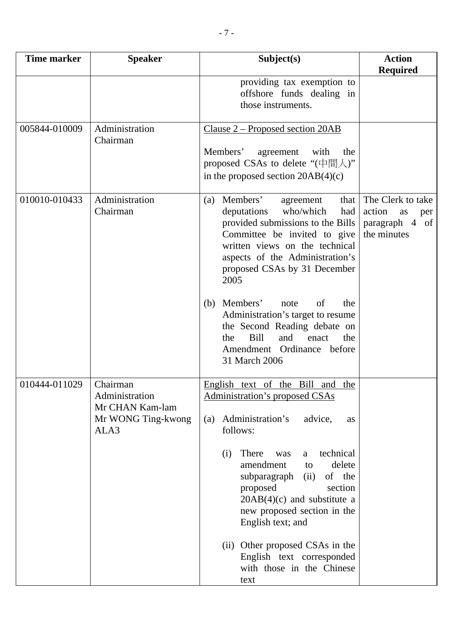| Time marker   | <b>Speaker</b>                                                              | Subject(s)                                                                                                                                                                                                                                                                                                                                                                                                                                                           | <b>Action</b><br><b>Required</b>                                          |
|---------------|-----------------------------------------------------------------------------|----------------------------------------------------------------------------------------------------------------------------------------------------------------------------------------------------------------------------------------------------------------------------------------------------------------------------------------------------------------------------------------------------------------------------------------------------------------------|---------------------------------------------------------------------------|
|               |                                                                             | providing tax exemption to<br>offshore funds dealing in<br>those instruments.                                                                                                                                                                                                                                                                                                                                                                                        |                                                                           |
| 005844-010009 | Administration<br>Chairman                                                  | <u>Clause 2 – Proposed section 20AB</u><br>Members'<br>agreement<br>with<br>the<br>proposed CSAs to delete " $(\dagger \mathbb{H} \downarrow)$ "<br>in the proposed section $20AB(4)(c)$                                                                                                                                                                                                                                                                             |                                                                           |
| 010010-010433 | Administration<br>Chairman                                                  | Members'<br>(a)<br>that  <br>agreement<br>who/which<br>deputations<br>had<br>provided submissions to the Bills<br>Committee be invited to give<br>written views on the technical<br>aspects of the Administration's<br>proposed CSAs by 31 December<br>2005<br>Members'<br>of<br>the<br>(b)<br>note<br>Administration's target to resume<br>the Second Reading debate on<br>and<br><b>Bill</b><br>enact<br>the<br>the<br>Amendment Ordinance before<br>31 March 2006 | The Clerk to take<br>action<br>as<br>per<br>paragraph 4 of<br>the minutes |
| 010444-011029 | Chairman<br>Administration<br>Mr CHAN Kam-lam<br>Mr WONG Ting-kwong<br>ALA3 | English text of the Bill and the<br>Administration's proposed CSAs<br>Administration's<br>advice,<br>(a)<br>as<br>follows:<br>technical<br>There<br>(i)<br>was<br>a<br>amendment<br>delete<br>to<br>subparagraph<br>of the<br>(ii)<br>proposed<br>section<br>$20AB(4)(c)$ and substitute a<br>new proposed section in the<br>English text; and<br>(ii) Other proposed CSAs in the<br>English text corresponded<br>with those in the Chinese<br>text                  |                                                                           |